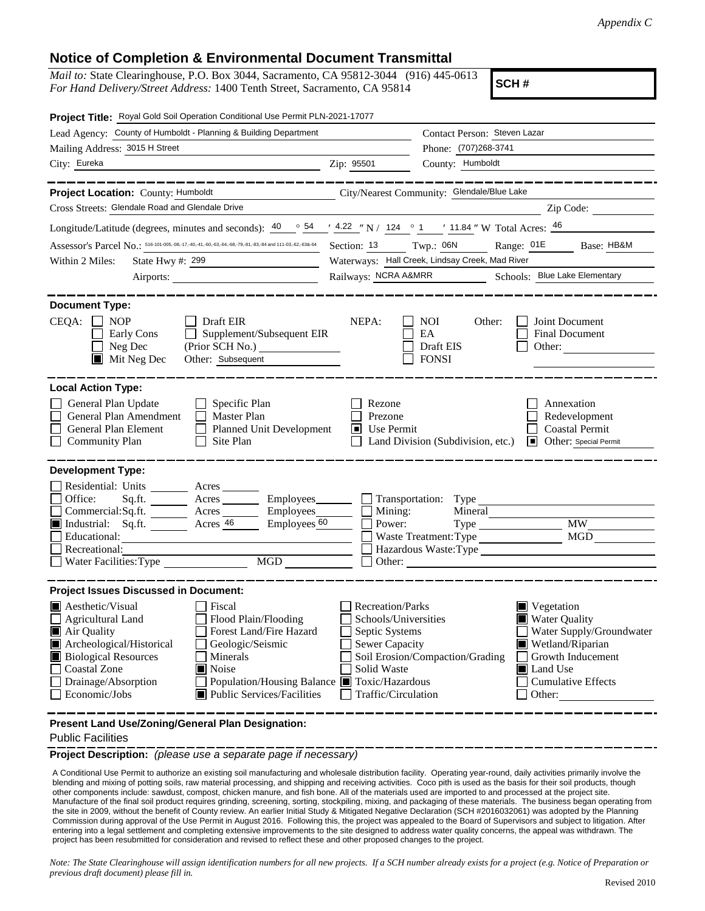## **Notice of Completion & Environmental Document Transmittal**

*Mail to:* State Clearinghouse, P.O. Box 3044, Sacramento, CA 95812-3044 (916) 445-0613 *For Hand Delivery/Street Address:* 1400 Tenth Street, Sacramento, CA 95814

**SCH #**

| Project Title: Royal Gold Soil Operation Conditional Use Permit PLN-2021-17077                                                                                                                                                                                                                                                                                |                                                                                                                                                                                                                                                                                                                                                    |
|---------------------------------------------------------------------------------------------------------------------------------------------------------------------------------------------------------------------------------------------------------------------------------------------------------------------------------------------------------------|----------------------------------------------------------------------------------------------------------------------------------------------------------------------------------------------------------------------------------------------------------------------------------------------------------------------------------------------------|
| Lead Agency: County of Humboldt - Planning & Building Department                                                                                                                                                                                                                                                                                              | Contact Person: Steven Lazar                                                                                                                                                                                                                                                                                                                       |
| Mailing Address: 3015 H Street                                                                                                                                                                                                                                                                                                                                | Phone: (707)268-3741                                                                                                                                                                                                                                                                                                                               |
| City: Eureka                                                                                                                                                                                                                                                                                                                                                  | County: Humboldt<br>Zip: 95501                                                                                                                                                                                                                                                                                                                     |
|                                                                                                                                                                                                                                                                                                                                                               |                                                                                                                                                                                                                                                                                                                                                    |
| Project Location: County: Humboldt                                                                                                                                                                                                                                                                                                                            | City/Nearest Community: Glendale/Blue Lake                                                                                                                                                                                                                                                                                                         |
| Cross Streets: Glendale Road and Glendale Drive                                                                                                                                                                                                                                                                                                               | Zip Code:                                                                                                                                                                                                                                                                                                                                          |
| Longitude/Latitude (degrees, minutes and seconds): $\frac{40}{9}$ $\frac{54}{9}$ $\frac{4.22}{9}$ N / 124 $\degree$ 1 $\degree$ 11.84 " W Total Acres: $\frac{46}{9}$                                                                                                                                                                                         |                                                                                                                                                                                                                                                                                                                                                    |
| Assessor's Parcel No.: 516-101-005,-08,-17,-40,-41,-60,-63,-64,-68,-79,-81,-83,-84 and 111-03,-62,-638-64                                                                                                                                                                                                                                                     | Section: 13 Twp.: 06N Range: 01E<br>Base: HB&M                                                                                                                                                                                                                                                                                                     |
| State Hwy #: 299<br>Within 2 Miles:                                                                                                                                                                                                                                                                                                                           | Waterways: Hall Creek, Lindsay Creek, Mad River                                                                                                                                                                                                                                                                                                    |
|                                                                                                                                                                                                                                                                                                                                                               | Railways: NCRA A&MRR Schools: Blue Lake Elementary                                                                                                                                                                                                                                                                                                 |
| <b>Document Type:</b><br>CEQA:<br><b>NOP</b><br>Draft EIR<br>Supplement/Subsequent EIR<br>Early Cons                                                                                                                                                                                                                                                          | NEPA:<br><b>NOI</b><br>Joint Document<br>Other:<br>EA<br><b>Final Document</b>                                                                                                                                                                                                                                                                     |
| Neg Dec<br>Other: Subsequent<br>$\blacksquare$ Mit Neg Dec                                                                                                                                                                                                                                                                                                    | Draft EIS<br>Other:<br><b>FONSI</b>                                                                                                                                                                                                                                                                                                                |
| <b>Local Action Type:</b><br>General Plan Update<br>Specific Plan<br>General Plan Amendment<br>Master Plan<br>General Plan Element<br><b>Planned Unit Development</b><br>Site Plan<br><b>Community Plan</b>                                                                                                                                                   | Rezone<br>Annexation<br>Prezone<br>Redevelopment<br>Use Permit<br><b>Coastal Permit</b><br>Land Division (Subdivision, etc.)<br>Other: Special Permit                                                                                                                                                                                              |
| <b>Development Type:</b>                                                                                                                                                                                                                                                                                                                                      |                                                                                                                                                                                                                                                                                                                                                    |
| Residential: Units ______<br>Acres<br>Office:<br>Sq.fit.<br>$A$ cres $\_\_\_\_\_\_\_\_\$<br>Employees_______<br>Employees_<br>Commercial:Sq.ft. ________ Acres _______<br>Industrial: Sq.ft. Acres 46<br>Employees_60<br>Educational:<br>Recreational:<br>MGD<br>Water Facilities: Type                                                                       | Mining:<br>Mineral<br><b>MW</b><br>Power:<br>MGD<br>Hazardous Waste:Type<br>Other:                                                                                                                                                                                                                                                                 |
| <b>Project Issues Discussed in Document:</b>                                                                                                                                                                                                                                                                                                                  |                                                                                                                                                                                                                                                                                                                                                    |
| Aesthetic/Visual<br>Fiscal<br>Flood Plain/Flooding<br>Agricultural Land<br>Forest Land/Fire Hazard<br>Air Quality<br>Archeological/Historical<br>Geologic/Seismic<br><b>Biological Resources</b><br>Minerals<br>Coastal Zone<br>■ Noise<br>Drainage/Absorption<br>Population/Housing Balance ■ Toxic/Hazardous<br>Economic/Jobs<br>Public Services/Facilities | <b>Recreation/Parks</b><br>$\blacksquare$ Vegetation<br>Schools/Universities<br><b>Water Quality</b><br>Septic Systems<br>Water Supply/Groundwater<br>Sewer Capacity<br>Wetland/Riparian<br>Soil Erosion/Compaction/Grading<br>Growth Inducement<br>Solid Waste<br><b>■</b> Land Use<br><b>Cumulative Effects</b><br>Traffic/Circulation<br>Other: |
| Present Land Use/Zoning/General Plan Designation:                                                                                                                                                                                                                                                                                                             |                                                                                                                                                                                                                                                                                                                                                    |

Public Facilities

**Project Description:** *(please use a separate page if necessary)*

 A Conditional Use Permit to authorize an existing soil manufacturing and wholesale distribution facility. Operating year-round, daily activities primarily involve the blending and mixing of potting soils, raw material processing, and shipping and receiving activities. Coco pith is used as the basis for their soil products, though other components include: sawdust, compost, chicken manure, and fish bone. All of the materials used are imported to and processed at the project site. Manufacture of the final soil product requires grinding, screening, sorting, stockpiling, mixing, and packaging of these materials. The business began operating from the site in 2009, without the benefit of County review. An earlier Initial Study & Mitigated Negative Declaration (SCH #2016032061) was adopted by the Planning Commission during approval of the Use Permit in August 2016. Following this, the project was appealed to the Board of Supervisors and subject to litigation. After entering into a legal settlement and completing extensive improvements to the site designed to address water quality concerns, the appeal was withdrawn. The project has been resubmitted for consideration and revised to reflect these and other proposed changes to the project.

*Note: The State Clearinghouse will assign identification numbers for all new projects. If a SCH number already exists for a project (e.g. Notice of Preparation or previous draft document) please fill in.*